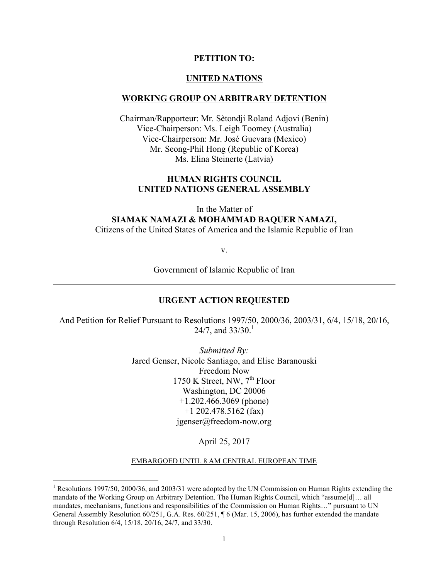#### **PETITION TO:**

#### **UNITED NATIONS**

#### **WORKING GROUP ON ARBITRARY DETENTION**

Chairman/Rapporteur: Mr. Sètondji Roland Adjovi (Benin) Vice-Chairperson: Ms. Leigh Toomey (Australia) Vice-Chairperson: Mr. José Guevara (Mexico) Mr. Seong-Phil Hong (Republic of Korea) Ms. Elina Steinerte (Latvia)

#### **HUMAN RIGHTS COUNCIL UNITED NATIONS GENERAL ASSEMBLY**

In the Matter of **SIAMAK NAMAZI & MOHAMMAD BAQUER NAMAZI,** Citizens of the United States of America and the Islamic Republic of Iran

v.

Government of Islamic Republic of Iran

#### **URGENT ACTION REQUESTED**

And Petition for Relief Pursuant to Resolutions 1997/50, 2000/36, 2003/31, 6/4, 15/18, 20/16, 24/7, and  $33/30$ .<sup>1</sup>

> *Submitted By:* Jared Genser, Nicole Santiago, and Elise Baranouski Freedom Now 1750 K Street, NW,  $7<sup>th</sup>$  Floor Washington, DC 20006 +1.202.466.3069 (phone) +1 202.478.5162 (fax) jgenser@freedom-now.org

> > April 25, 2017

EMBARGOED UNTIL 8 AM CENTRAL EUROPEAN TIME

<sup>&</sup>lt;sup>1</sup> Resolutions 1997/50, 2000/36, and 2003/31 were adopted by the UN Commission on Human Rights extending the mandate of the Working Group on Arbitrary Detention. The Human Rights Council, which "assume[d]… all mandates, mechanisms, functions and responsibilities of the Commission on Human Rights…" pursuant to UN General Assembly Resolution 60/251, G.A. Res. 60/251,  $\sqrt{9}$  6 (Mar. 15, 2006), has further extended the mandate through Resolution 6/4, 15/18, 20/16, 24/7, and 33/30.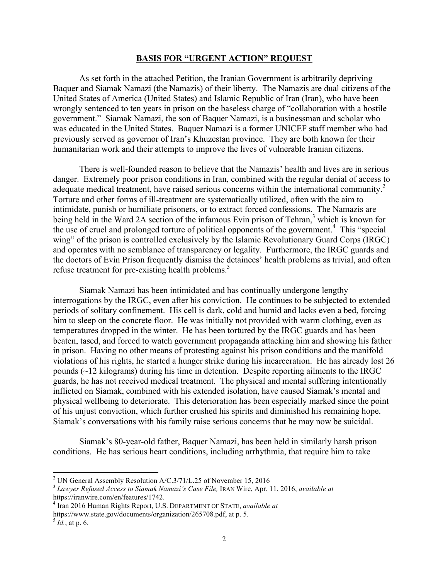#### **BASIS FOR "URGENT ACTION" REQUEST**

As set forth in the attached Petition, the Iranian Government is arbitrarily depriving Baquer and Siamak Namazi (the Namazis) of their liberty. The Namazis are dual citizens of the United States of America (United States) and Islamic Republic of Iran (Iran), who have been wrongly sentenced to ten years in prison on the baseless charge of "collaboration with a hostile government." Siamak Namazi, the son of Baquer Namazi, is a businessman and scholar who was educated in the United States. Baquer Namazi is a former UNICEF staff member who had previously served as governor of Iran's Khuzestan province. They are both known for their humanitarian work and their attempts to improve the lives of vulnerable Iranian citizens.

There is well-founded reason to believe that the Namazis' health and lives are in serious danger. Extremely poor prison conditions in Iran, combined with the regular denial of access to adequate medical treatment, have raised serious concerns within the international community.<sup>2</sup> Torture and other forms of ill-treatment are systematically utilized, often with the aim to intimidate, punish or humiliate prisoners, or to extract forced confessions. The Namazis are being held in the Ward 2A section of the infamous Evin prison of Tehran,<sup>3</sup> which is known for the use of cruel and prolonged torture of political opponents of the government. <sup>4</sup> This "special wing" of the prison is controlled exclusively by the Islamic Revolutionary Guard Corps (IRGC) and operates with no semblance of transparency or legality. Furthermore, the IRGC guards and the doctors of Evin Prison frequently dismiss the detainees' health problems as trivial, and often refuse treatment for pre-existing health problems.<sup>5</sup>

Siamak Namazi has been intimidated and has continually undergone lengthy interrogations by the IRGC, even after his conviction. He continues to be subjected to extended periods of solitary confinement. His cell is dark, cold and humid and lacks even a bed, forcing him to sleep on the concrete floor. He was initially not provided with warm clothing, even as temperatures dropped in the winter. He has been tortured by the IRGC guards and has been beaten, tased, and forced to watch government propaganda attacking him and showing his father in prison. Having no other means of protesting against his prison conditions and the manifold violations of his rights, he started a hunger strike during his incarceration. He has already lost 26 pounds (~12 kilograms) during his time in detention. Despite reporting ailments to the IRGC guards, he has not received medical treatment. The physical and mental suffering intentionally inflicted on Siamak, combined with his extended isolation, have caused Siamak's mental and physical wellbeing to deteriorate. This deterioration has been especially marked since the point of his unjust conviction, which further crushed his spirits and diminished his remaining hope. Siamak's conversations with his family raise serious concerns that he may now be suicidal.

Siamak's 80-year-old father, Baquer Namazi, has been held in similarly harsh prison conditions. He has serious heart conditions, including arrhythmia, that require him to take

<sup>&</sup>lt;sup>2</sup> UN General Assembly Resolution A/C.3/71/L.25 of November 15, 2016<br><sup>3</sup> *Lawyer Refused Access to Siamak Namazi's Case File*, IRAN Wire, Apr. 11, 2016, *available at* https://iranwire.com/en/features/1742. <sup>4</sup> Iran 2016 Human Rights Report, U.S. DEPARTMENT OF STATE, *available at* 

https://www.state.gov/documents/organization/265708.pdf, at p. 5. <sup>5</sup> *Id.*, at p. 6.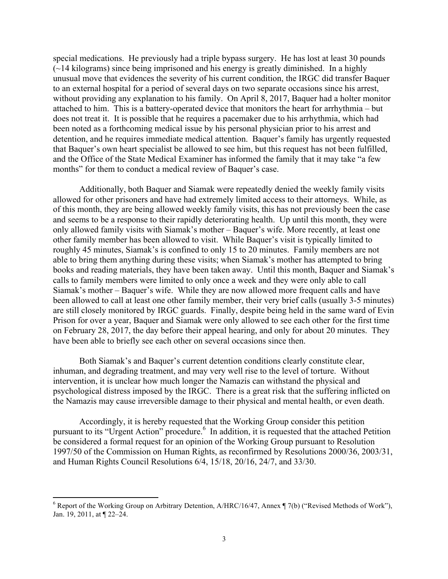special medications. He previously had a triple bypass surgery. He has lost at least 30 pounds  $(\sim)$  14 kilograms) since being imprisoned and his energy is greatly diminished. In a highly unusual move that evidences the severity of his current condition, the IRGC did transfer Baquer to an external hospital for a period of several days on two separate occasions since his arrest, without providing any explanation to his family. On April 8, 2017, Baquer had a holter monitor attached to him. This is a battery-operated device that monitors the heart for arrhythmia – but does not treat it. It is possible that he requires a pacemaker due to his arrhythmia, which had been noted as a forthcoming medical issue by his personal physician prior to his arrest and detention, and he requires immediate medical attention. Baquer's family has urgently requested that Baquer's own heart specialist be allowed to see him, but this request has not been fulfilled, and the Office of the State Medical Examiner has informed the family that it may take "a few months" for them to conduct a medical review of Baquer's case.

Additionally, both Baquer and Siamak were repeatedly denied the weekly family visits allowed for other prisoners and have had extremely limited access to their attorneys. While, as of this month, they are being allowed weekly family visits, this has not previously been the case and seems to be a response to their rapidly deteriorating health. Up until this month, they were only allowed family visits with Siamak's mother – Baquer's wife. More recently, at least one other family member has been allowed to visit. While Baquer's visit is typically limited to roughly 45 minutes, Siamak's is confined to only 15 to 20 minutes. Family members are not able to bring them anything during these visits; when Siamak's mother has attempted to bring books and reading materials, they have been taken away. Until this month, Baquer and Siamak's calls to family members were limited to only once a week and they were only able to call Siamak's mother – Baquer's wife. While they are now allowed more frequent calls and have been allowed to call at least one other family member, their very brief calls (usually 3-5 minutes) are still closely monitored by IRGC guards. Finally, despite being held in the same ward of Evin Prison for over a year, Baquer and Siamak were only allowed to see each other for the first time on February 28, 2017, the day before their appeal hearing, and only for about 20 minutes. They have been able to briefly see each other on several occasions since then.

Both Siamak's and Baquer's current detention conditions clearly constitute clear, inhuman, and degrading treatment, and may very well rise to the level of torture. Without intervention, it is unclear how much longer the Namazis can withstand the physical and psychological distress imposed by the IRGC. There is a great risk that the suffering inflicted on the Namazis may cause irreversible damage to their physical and mental health, or even death.

Accordingly, it is hereby requested that the Working Group consider this petition pursuant to its "Urgent Action" procedure.<sup>6</sup> In addition, it is requested that the attached Petition be considered a formal request for an opinion of the Working Group pursuant to Resolution 1997/50 of the Commission on Human Rights, as reconfirmed by Resolutions 2000/36, 2003/31, and Human Rights Council Resolutions 6/4, 15/18, 20/16, 24/7, and 33/30.

<sup>&</sup>lt;sup>6</sup> Report of the Working Group on Arbitrary Detention,  $A/HRC/16/47$ , Annex  $\P$  7(b) ("Revised Methods of Work"), Jan. 19, 2011, at ¶ 22–24.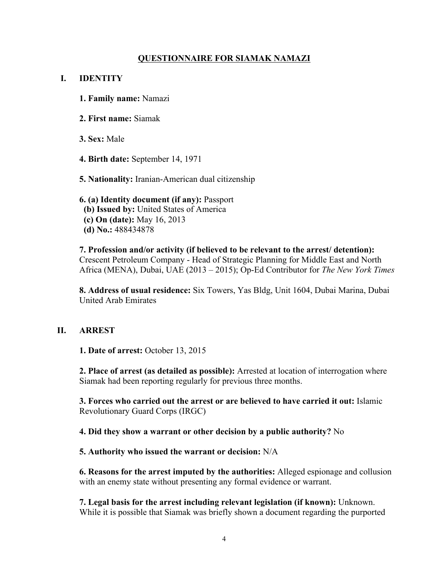# **QUESTIONNAIRE FOR SIAMAK NAMAZI**

### **I. IDENTITY**

- **1. Family name:** Namazi
- **2. First name:** Siamak
- **3. Sex:** Male
- **4. Birth date:** September 14, 1971
- **5. Nationality:** Iranian-American dual citizenship

### **6. (a) Identity document (if any):** Passport  **(b) Issued by:** United States of America  **(c) On (date):** May 16, 2013  **(d) No.:** 488434878

**7. Profession and/or activity (if believed to be relevant to the arrest/ detention):**  Crescent Petroleum Company - Head of Strategic Planning for Middle East and North Africa (MENA), Dubai, UAE (2013 – 2015); Op-Ed Contributor for *The New York Times*

**8. Address of usual residence:** Six Towers, Yas Bldg, Unit 1604, Dubai Marina, Dubai United Arab Emirates

### **II. ARREST**

**1. Date of arrest:** October 13, 2015

**2. Place of arrest (as detailed as possible):** Arrested at location of interrogation where Siamak had been reporting regularly for previous three months.

**3. Forces who carried out the arrest or are believed to have carried it out:** Islamic Revolutionary Guard Corps (IRGC)

**4. Did they show a warrant or other decision by a public authority?** No

#### **5. Authority who issued the warrant or decision:** N/A

**6. Reasons for the arrest imputed by the authorities:** Alleged espionage and collusion with an enemy state without presenting any formal evidence or warrant.

**7. Legal basis for the arrest including relevant legislation (if known):** Unknown. While it is possible that Siamak was briefly shown a document regarding the purported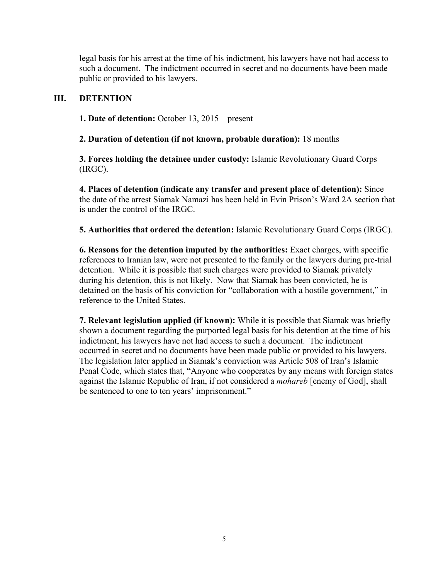legal basis for his arrest at the time of his indictment, his lawyers have not had access to such a document. The indictment occurred in secret and no documents have been made public or provided to his lawyers.

# **III. DETENTION**

**1. Date of detention:** October 13, 2015 – present

**2. Duration of detention (if not known, probable duration):** 18 months

**3. Forces holding the detainee under custody:** Islamic Revolutionary Guard Corps (IRGC).

**4. Places of detention (indicate any transfer and present place of detention):** Since the date of the arrest Siamak Namazi has been held in Evin Prison's Ward 2A section that is under the control of the IRGC.

**5. Authorities that ordered the detention:** Islamic Revolutionary Guard Corps (IRGC).

**6. Reasons for the detention imputed by the authorities:** Exact charges, with specific references to Iranian law, were not presented to the family or the lawyers during pre-trial detention. While it is possible that such charges were provided to Siamak privately during his detention, this is not likely. Now that Siamak has been convicted, he is detained on the basis of his conviction for "collaboration with a hostile government," in reference to the United States.

**7. Relevant legislation applied (if known):** While it is possible that Siamak was briefly shown a document regarding the purported legal basis for his detention at the time of his indictment, his lawyers have not had access to such a document. The indictment occurred in secret and no documents have been made public or provided to his lawyers. The legislation later applied in Siamak's conviction was Article 508 of Iran's Islamic Penal Code, which states that, "Anyone who cooperates by any means with foreign states against the Islamic Republic of Iran, if not considered a *mohareb* [enemy of God], shall be sentenced to one to ten years' imprisonment."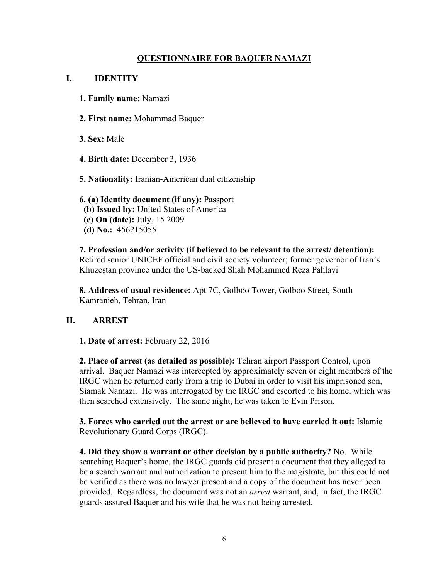# **QUESTIONNAIRE FOR BAQUER NAMAZI**

# **I. IDENTITY**

- **1. Family name:** Namazi
- **2. First name:** Mohammad Baquer
- **3. Sex:** Male
- **4. Birth date:** December 3, 1936
- **5. Nationality:** Iranian-American dual citizenship

# **6. (a) Identity document (if any):** Passport  **(b) Issued by:** United States of America  **(c) On (date):** July, 15 2009  **(d) No.:** 456215055

**7. Profession and/or activity (if believed to be relevant to the arrest/ detention):**  Retired senior UNICEF official and civil society volunteer; former governor of Iran's Khuzestan province under the US-backed Shah Mohammed Reza Pahlavi

**8. Address of usual residence:** Apt 7C, Golboo Tower, Golboo Street, South Kamranieh, Tehran, Iran

# **II. ARREST**

**1. Date of arrest:** February 22, 2016

**2. Place of arrest (as detailed as possible):** Tehran airport Passport Control, upon arrival. Baquer Namazi was intercepted by approximately seven or eight members of the IRGC when he returned early from a trip to Dubai in order to visit his imprisoned son, Siamak Namazi. He was interrogated by the IRGC and escorted to his home, which was then searched extensively. The same night, he was taken to Evin Prison.

**3. Forces who carried out the arrest or are believed to have carried it out:** Islamic Revolutionary Guard Corps (IRGC).

**4. Did they show a warrant or other decision by a public authority?** No. While searching Baquer's home, the IRGC guards did present a document that they alleged to be a search warrant and authorization to present him to the magistrate, but this could not be verified as there was no lawyer present and a copy of the document has never been provided. Regardless, the document was not an *arrest* warrant, and, in fact, the IRGC guards assured Baquer and his wife that he was not being arrested.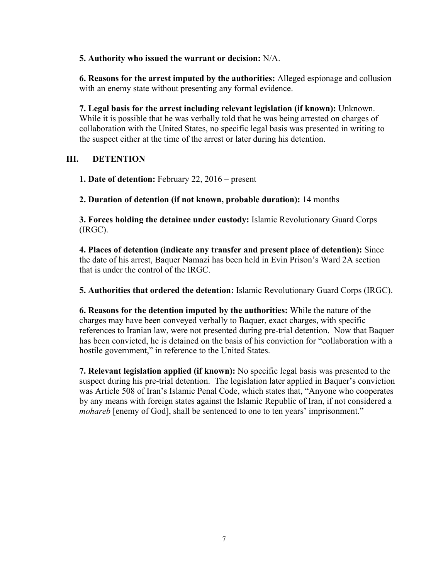**5. Authority who issued the warrant or decision:** N/A.

**6. Reasons for the arrest imputed by the authorities:** Alleged espionage and collusion with an enemy state without presenting any formal evidence.

**7. Legal basis for the arrest including relevant legislation (if known):** Unknown. While it is possible that he was verbally told that he was being arrested on charges of collaboration with the United States, no specific legal basis was presented in writing to the suspect either at the time of the arrest or later during his detention.

# **III. DETENTION**

**1. Date of detention:** February 22, 2016 – present

**2. Duration of detention (if not known, probable duration):** 14 months

**3. Forces holding the detainee under custody:** Islamic Revolutionary Guard Corps (IRGC).

**4. Places of detention (indicate any transfer and present place of detention):** Since the date of his arrest, Baquer Namazi has been held in Evin Prison's Ward 2A section that is under the control of the IRGC.

**5. Authorities that ordered the detention:** Islamic Revolutionary Guard Corps (IRGC).

**6. Reasons for the detention imputed by the authorities:** While the nature of the charges may have been conveyed verbally to Baquer, exact charges, with specific references to Iranian law, were not presented during pre-trial detention. Now that Baquer has been convicted, he is detained on the basis of his conviction for "collaboration with a hostile government," in reference to the United States.

**7. Relevant legislation applied (if known):** No specific legal basis was presented to the suspect during his pre-trial detention. The legislation later applied in Baquer's conviction was Article 508 of Iran's Islamic Penal Code, which states that, "Anyone who cooperates by any means with foreign states against the Islamic Republic of Iran, if not considered a *mohareb* [enemy of God], shall be sentenced to one to ten years' imprisonment."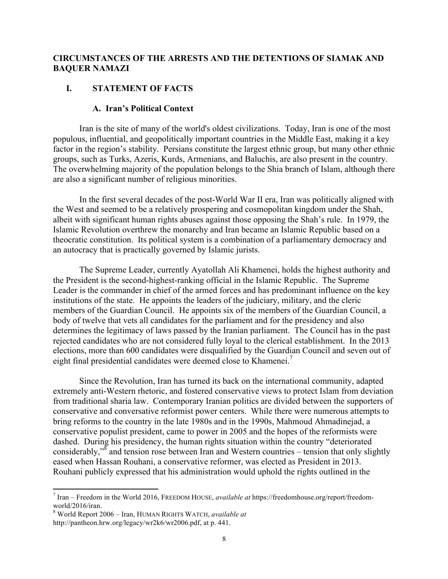# **CIRCUMSTANCES OF THE ARRESTS AND THE DETENTIONS OF SIAMAK AND BAQUER NAMAZI**

### **I. STATEMENT OF FACTS**

#### **A. Iran's Political Context**

Iran is the site of many of the world's oldest civilizations. Today, Iran is one of the most populous, influential, and geopolitically important countries in the Middle East, making it a key factor in the region's stability. Persians constitute the largest ethnic group, but many other ethnic groups, such as Turks, Azeris, Kurds, Armenians, and Baluchis, are also present in the country. The overwhelming majority of the population belongs to the Shia branch of Islam, although there are also a significant number of religious minorities.

In the first several decades of the post-World War II era, Iran was politically aligned with the West and seemed to be a relatively prospering and cosmopolitan kingdom under the Shah, albeit with significant human rights abuses against those opposing the Shah's rule. In 1979, the Islamic Revolution overthrew the monarchy and Iran became an Islamic Republic based on a theocratic constitution. Its political system is a combination of a parliamentary democracy and an autocracy that is practically governed by Islamic jurists.

The Supreme Leader, currently Ayatollah Ali Khamenei, holds the highest authority and the President is the second-highest-ranking official in the Islamic Republic. The Supreme Leader is the commander in chief of the armed forces and has predominant influence on the key institutions of the state. He appoints the leaders of the judiciary, military, and the cleric members of the Guardian Council. He appoints six of the members of the Guardian Council, a body of twelve that vets all candidates for the parliament and for the presidency and also determines the legitimacy of laws passed by the Iranian parliament. The Council has in the past rejected candidates who are not considered fully loyal to the clerical establishment. In the 2013 elections, more than 600 candidates were disqualified by the Guardian Council and seven out of eight final presidential candidates were deemed close to Khamenei.<sup>7</sup>

Since the Revolution, Iran has turned its back on the international community, adapted extremely anti-Western rhetoric, and fostered conservative views to protect Islam from deviation from traditional sharia law. Contemporary Iranian politics are divided between the supporters of conservative and conversative reformist power centers. While there were numerous attempts to bring reforms to the country in the late 1980s and in the 1990s, Mahmoud Ahmadinejad, a conservative populist president, came to power in 2005 and the hopes of the reformists were dashed. During his presidency, the human rights situation within the country "deteriorated considerably,"<sup>8</sup> and tension rose between Iran and Western countries – tension that only slightly eased when Hassan Rouhani, a conservative reformer, was elected as President in 2013. Rouhani publicly expressed that his administration would uphold the rights outlined in the

<sup>7</sup> Iran – Freedom in the World 2016, FREEDOM HOUSE, *available at* https://freedomhouse.org/report/freedom-

<sup>&</sup>lt;sup>8</sup> World Report 2006 – Iran, HUMAN RIGHTS WATCH, *available at* http://pantheon.hrw.org/legacy/wr2k6/wr2006.pdf, at p. 441.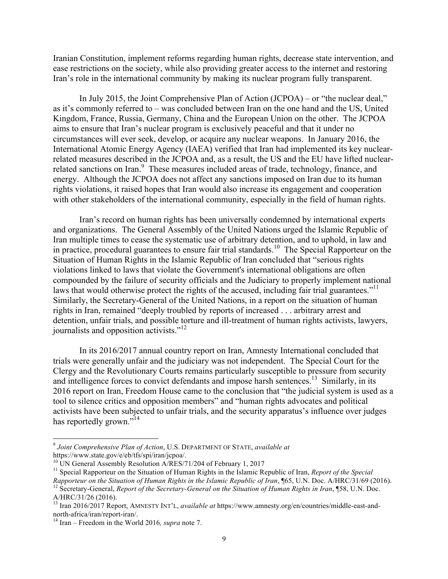Iranian Constitution, implement reforms regarding human rights, decrease state intervention, and ease restrictions on the society, while also providing greater access to the internet and restoring Iran's role in the international community by making its nuclear program fully transparent.

In July 2015, the Joint Comprehensive Plan of Action (JCPOA) – or "the nuclear deal," as it's commonly referred to – was concluded between Iran on the one hand and the US, United Kingdom, France, Russia, Germany, China and the European Union on the other. The JCPOA aims to ensure that Iran's nuclear program is exclusively peaceful and that it under no circumstances will ever seek, develop, or acquire any nuclear weapons. In January 2016, the International Atomic Energy Agency (IAEA) verified that Iran had implemented its key nuclearrelated measures described in the JCPOA and, as a result, the US and the EU have lifted nuclearrelated sanctions on Iran.<sup>9</sup> These measures included areas of trade, technology, finance, and energy. Although the JCPOA does not affect any sanctions imposed on Iran due to its human rights violations, it raised hopes that Iran would also increase its engagement and cooperation with other stakeholders of the international community, especially in the field of human rights.

Iran's record on human rights has been universally condemned by international experts and organizations. The General Assembly of the United Nations urged the Islamic Republic of Iran multiple times to cease the systematic use of arbitrary detention, and to uphold, in law and in practice, procedural guarantees to ensure fair trial standards.<sup>10</sup> The Special Rapporteur on the Situation of Human Rights in the Islamic Republic of Iran concluded that "serious rights violations linked to laws that violate the Government's international obligations are often compounded by the failure of security officials and the Judiciary to properly implement national laws that would otherwise protect the rights of the accused, including fair trial guarantees."<sup>11</sup> Similarly, the Secretary-General of the United Nations, in a report on the situation of human rights in Iran, remained "deeply troubled by reports of increased . . . arbitrary arrest and detention, unfair trials, and possible torture and ill-treatment of human rights activists, lawyers, journalists and opposition activists."<sup>12</sup>

In its 2016/2017 annual country report on Iran, Amnesty International concluded that trials were generally unfair and the judiciary was not independent. The Special Court for the Clergy and the Revolutionary Courts remains particularly susceptible to pressure from security and intelligence forces to convict defendants and impose harsh sentences.<sup>13</sup> Similarly, in its 2016 report on Iran, Freedom House came to the conclusion that "the judicial system is used as a tool to silence critics and opposition members" and "human rights advocates and political activists have been subjected to unfair trials, and the security apparatus's influence over judges has reportedly grown."<sup>14</sup>

<sup>9</sup> *Joint Comprehensive Plan of Action*, U.S. DEPARTMENT OF STATE, *available at* https://www.state.gov/e/eb/tfs/spi/iran/jcpoa/.<br><sup>10</sup> UN General Assembly Resolution A/RES/71/204 of February 1, 2017

<sup>&</sup>lt;sup>11</sup> Special Rapporteur on the Situation of Human Rights in the Islamic Republic of Iran, *Report of the Special* 

Rapporteur on the Situation of Human Rights in the Islamic Republic of Iran,  $\sqrt{65}$ , U.N. Doc. A/HRC/31/69 (2016).<br><sup>12</sup> Secretary-General, *Report of the Secretary-General on the Situation of Human Rights in Iran*,  $\sqrt{$ A/HRC/31/26 (2016).

<sup>&</sup>lt;sup>13</sup> Iran 2016/2017 Report, AMNESTY INT'L, *available at* https://www.amnesty.org/en/countries/middle-east-and-north-africa/iran/report-iran/.

<sup>&</sup>lt;sup>14</sup> Iran – Freedom in the World 2016, *supra* note 7.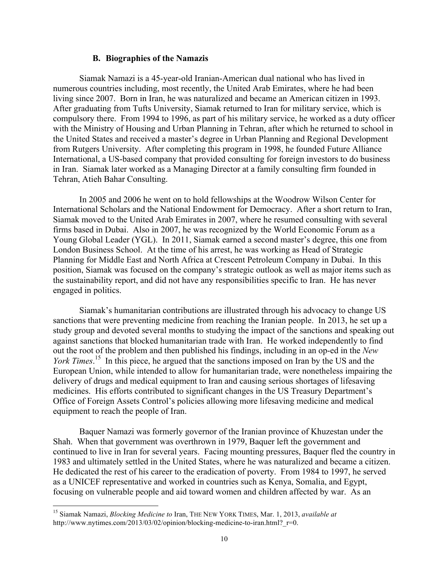#### **B. Biographies of the Namazis**

Siamak Namazi is a 45-year-old Iranian-American dual national who has lived in numerous countries including, most recently, the United Arab Emirates, where he had been living since 2007. Born in Iran, he was naturalized and became an American citizen in 1993. After graduating from Tufts University, Siamak returned to Iran for military service, which is compulsory there. From 1994 to 1996, as part of his military service, he worked as a duty officer with the Ministry of Housing and Urban Planning in Tehran, after which he returned to school in the United States and received a master's degree in Urban Planning and Regional Development from Rutgers University. After completing this program in 1998, he founded Future Alliance International, a US-based company that provided consulting for foreign investors to do business in Iran. Siamak later worked as a Managing Director at a family consulting firm founded in Tehran, Atieh Bahar Consulting.

In 2005 and 2006 he went on to hold fellowships at the Woodrow Wilson Center for International Scholars and the National Endowment for Democracy. After a short return to Iran, Siamak moved to the United Arab Emirates in 2007, where he resumed consulting with several firms based in Dubai. Also in 2007, he was recognized by the World Economic Forum as a Young Global Leader (YGL). In 2011, Siamak earned a second master's degree, this one from London Business School. At the time of his arrest, he was working as Head of Strategic Planning for Middle East and North Africa at Crescent Petroleum Company in Dubai. In this position, Siamak was focused on the company's strategic outlook as well as major items such as the sustainability report, and did not have any responsibilities specific to Iran. He has never engaged in politics.

Siamak's humanitarian contributions are illustrated through his advocacy to change US sanctions that were preventing medicine from reaching the Iranian people. In 2013, he set up a study group and devoted several months to studying the impact of the sanctions and speaking out against sanctions that blocked humanitarian trade with Iran. He worked independently to find out the root of the problem and then published his findings, including in an op-ed in the *New York Times*<sup>15</sup> In this piece, he argued that the sanctions imposed on Iran by the US and the European Union, while intended to allow for humanitarian trade, were nonetheless impairing the delivery of drugs and medical equipment to Iran and causing serious shortages of lifesaving medicines. His efforts contributed to significant changes in the US Treasury Department's Office of Foreign Assets Control's policies allowing more lifesaving medicine and medical equipment to reach the people of Iran.

Baquer Namazi was formerly governor of the Iranian province of Khuzestan under the Shah. When that government was overthrown in 1979, Baquer left the government and continued to live in Iran for several years. Facing mounting pressures, Baquer fled the country in 1983 and ultimately settled in the United States, where he was naturalized and became a citizen. He dedicated the rest of his career to the eradication of poverty. From 1984 to 1997, he served as a UNICEF representative and worked in countries such as Kenya, Somalia, and Egypt, focusing on vulnerable people and aid toward women and children affected by war. As an

 

<sup>15</sup> Siamak Namazi, *Blocking Medicine to* Iran, THE NEW YORK TIMES, Mar. 1, 2013, *available at*  http://www.nytimes.com/2013/03/02/opinion/blocking-medicine-to-iran.html? r=0.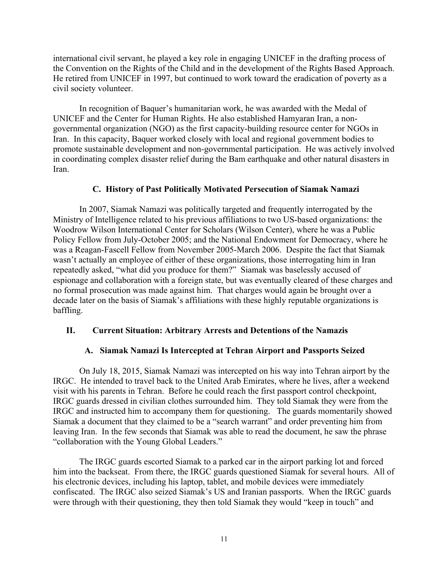international civil servant, he played a key role in engaging UNICEF in the drafting process of the Convention on the Rights of the Child and in the development of the Rights Based Approach. He retired from UNICEF in 1997, but continued to work toward the eradication of poverty as a civil society volunteer.

In recognition of Baquer's humanitarian work, he was awarded with the Medal of UNICEF and the Center for Human Rights. He also established Hamyaran Iran, a nongovernmental organization (NGO) as the first capacity-building resource center for NGOs in Iran. In this capacity, Baquer worked closely with local and regional government bodies to promote sustainable development and non-governmental participation. He was actively involved in coordinating complex disaster relief during the Bam earthquake and other natural disasters in Iran.

### **C. History of Past Politically Motivated Persecution of Siamak Namazi**

In 2007, Siamak Namazi was politically targeted and frequently interrogated by the Ministry of Intelligence related to his previous affiliations to two US-based organizations: the Woodrow Wilson International Center for Scholars (Wilson Center), where he was a Public Policy Fellow from July-October 2005; and the National Endowment for Democracy, where he was a Reagan-Fascell Fellow from November 2005-March 2006. Despite the fact that Siamak wasn't actually an employee of either of these organizations, those interrogating him in Iran repeatedly asked, "what did you produce for them?" Siamak was baselessly accused of espionage and collaboration with a foreign state, but was eventually cleared of these charges and no formal prosecution was made against him. That charges would again be brought over a decade later on the basis of Siamak's affiliations with these highly reputable organizations is baffling.

### **II. Current Situation: Arbitrary Arrests and Detentions of the Namazis**

#### **A. Siamak Namazi Is Intercepted at Tehran Airport and Passports Seized**

On July 18, 2015, Siamak Namazi was intercepted on his way into Tehran airport by the IRGC. He intended to travel back to the United Arab Emirates, where he lives, after a weekend visit with his parents in Tehran. Before he could reach the first passport control checkpoint, IRGC guards dressed in civilian clothes surrounded him. They told Siamak they were from the IRGC and instructed him to accompany them for questioning. The guards momentarily showed Siamak a document that they claimed to be a "search warrant" and order preventing him from leaving Iran. In the few seconds that Siamak was able to read the document, he saw the phrase "collaboration with the Young Global Leaders."

The IRGC guards escorted Siamak to a parked car in the airport parking lot and forced him into the backseat. From there, the IRGC guards questioned Siamak for several hours. All of his electronic devices, including his laptop, tablet, and mobile devices were immediately confiscated. The IRGC also seized Siamak's US and Iranian passports. When the IRGC guards were through with their questioning, they then told Siamak they would "keep in touch" and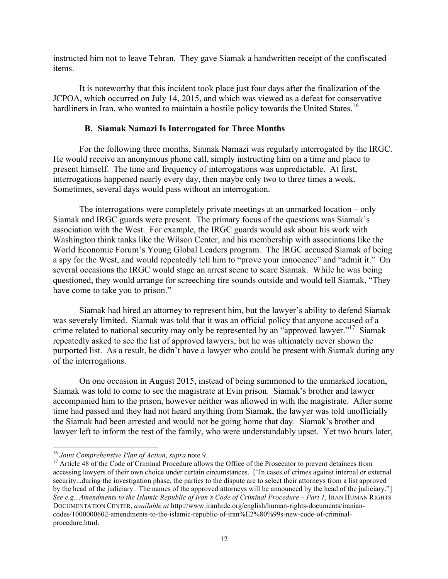instructed him not to leave Tehran. They gave Siamak a handwritten receipt of the confiscated items.

It is noteworthy that this incident took place just four days after the finalization of the JCPOA, which occurred on July 14, 2015, and which was viewed as a defeat for conservative hardliners in Iran, who wanted to maintain a hostile policy towards the United States.<sup>16</sup>

# **B. Siamak Namazi Is Interrogated for Three Months**

For the following three months, Siamak Namazi was regularly interrogated by the IRGC. He would receive an anonymous phone call, simply instructing him on a time and place to present himself. The time and frequency of interrogations was unpredictable. At first, interrogations happened nearly every day, then maybe only two to three times a week. Sometimes, several days would pass without an interrogation.

The interrogations were completely private meetings at an unmarked location – only Siamak and IRGC guards were present. The primary focus of the questions was Siamak's association with the West. For example, the IRGC guards would ask about his work with Washington think tanks like the Wilson Center, and his membership with associations like the World Economic Forum's Young Global Leaders program. The IRGC accused Siamak of being a spy for the West, and would repeatedly tell him to "prove your innocence" and "admit it." On several occasions the IRGC would stage an arrest scene to scare Siamak. While he was being questioned, they would arrange for screeching tire sounds outside and would tell Siamak, "They have come to take you to prison."

Siamak had hired an attorney to represent him, but the lawyer's ability to defend Siamak was severely limited. Siamak was told that it was an official policy that anyone accused of a crime related to national security may only be represented by an "approved lawyer."17 Siamak repeatedly asked to see the list of approved lawyers, but he was ultimately never shown the purported list. As a result, he didn't have a lawyer who could be present with Siamak during any of the interrogations.

On one occasion in August 2015, instead of being summoned to the unmarked location, Siamak was told to come to see the magistrate at Evin prison. Siamak's brother and lawyer accompanied him to the prison, however neither was allowed in with the magistrate. After some time had passed and they had not heard anything from Siamak, the lawyer was told unofficially the Siamak had been arrested and would not be going home that day. Siamak's brother and lawyer left to inform the rest of the family, who were understandably upset. Yet two hours later,

<sup>&</sup>lt;sup>16</sup> *Joint Comprehensive Plan of Action, supra* note 9.<br><sup>17</sup> Article 48 of the Code of Criminal Procedure allows the Office of the Prosecutor to prevent detainees from accessing lawyers of their own choice under certain circumstances. ["In cases of crimes against internal or external security...during the investigation phase, the parties to the dispute are to select their attorneys from a list approved by the head of the judiciary. The names of the approved attorneys will be announced by the head of the judiciary."] *See e.g., Amendments to the Islamic Republic of Iran's Code of Criminal Procedure – Part 1*, IRAN HUMAN RIGHTS DOCUMENTATION CENTER, *available at* http://www.iranhrdc.org/english/human-rights-documents/iraniancodes/1000000602-amendments-to-the-islamic-republic-of-iran%E2%80%99s-new-code-of-criminalprocedure.html.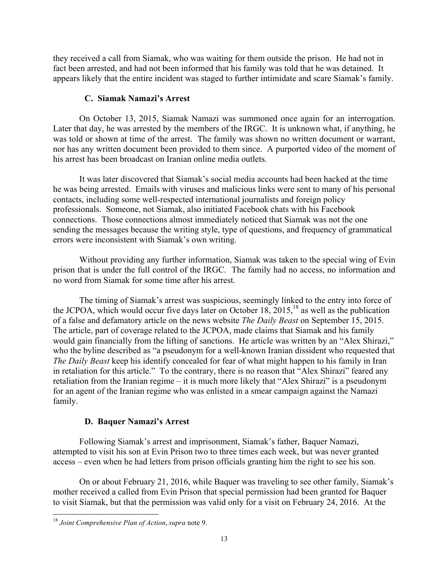they received a call from Siamak, who was waiting for them outside the prison. He had not in fact been arrested, and had not been informed that his family was told that he was detained. It appears likely that the entire incident was staged to further intimidate and scare Siamak's family.

# **C. Siamak Namazi's Arrest**

On October 13, 2015, Siamak Namazi was summoned once again for an interrogation. Later that day, he was arrested by the members of the IRGC. It is unknown what, if anything, he was told or shown at time of the arrest. The family was shown no written document or warrant, nor has any written document been provided to them since. A purported video of the moment of his arrest has been broadcast on Iranian online media outlets.

It was later discovered that Siamak's social media accounts had been hacked at the time he was being arrested. Emails with viruses and malicious links were sent to many of his personal contacts, including some well-respected international journalists and foreign policy professionals. Someone, not Siamak, also initiated Facebook chats with his Facebook connections. Those connections almost immediately noticed that Siamak was not the one sending the messages because the writing style, type of questions, and frequency of grammatical errors were inconsistent with Siamak's own writing.

Without providing any further information, Siamak was taken to the special wing of Evin prison that is under the full control of the IRGC. The family had no access, no information and no word from Siamak for some time after his arrest.

The timing of Siamak's arrest was suspicious, seemingly linked to the entry into force of the JCPOA, which would occur five days later on October  $18, 2015$ ,<sup>18</sup> as well as the publication of a false and defamatory article on the news website *The Daily Beast* on September 15, 2015. The article, part of coverage related to the JCPOA, made claims that Siamak and his family would gain financially from the lifting of sanctions. He article was written by an "Alex Shirazi," who the byline described as "a pseudonym for a well-known Iranian dissident who requested that *The Daily Beast* keep his identify concealed for fear of what might happen to his family in Iran in retaliation for this article." To the contrary, there is no reason that "Alex Shirazi" feared any retaliation from the Iranian regime – it is much more likely that "Alex Shirazi" is a pseudonym for an agent of the Iranian regime who was enlisted in a smear campaign against the Namazi family.

# **D. Baquer Namazi's Arrest**

Following Siamak's arrest and imprisonment, Siamak's father, Baquer Namazi, attempted to visit his son at Evin Prison two to three times each week, but was never granted access – even when he had letters from prison officials granting him the right to see his son.

On or about February 21, 2016, while Baquer was traveling to see other family, Siamak's mother received a called from Evin Prison that special permission had been granted for Baquer to visit Siamak, but that the permission was valid only for a visit on February 24, 2016. At the

<sup>&</sup>lt;u> 1989 - Johann Stein, markin film yn y breninn y breninn y breninn y breninn y breninn y breninn y breninn y b</u> <sup>18</sup> *Joint Comprehensive Plan of Action*, *supra* note 9.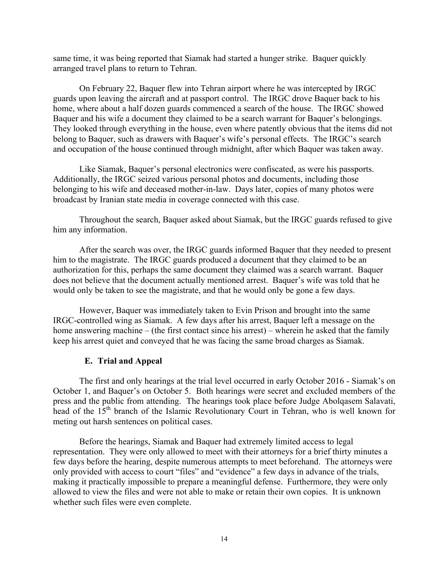same time, it was being reported that Siamak had started a hunger strike. Baquer quickly arranged travel plans to return to Tehran.

On February 22, Baquer flew into Tehran airport where he was intercepted by IRGC guards upon leaving the aircraft and at passport control. The IRGC drove Baquer back to his home, where about a half dozen guards commenced a search of the house. The IRGC showed Baquer and his wife a document they claimed to be a search warrant for Baquer's belongings. They looked through everything in the house, even where patently obvious that the items did not belong to Baquer, such as drawers with Baquer's wife's personal effects. The IRGC's search and occupation of the house continued through midnight, after which Baquer was taken away.

Like Siamak, Baquer's personal electronics were confiscated, as were his passports. Additionally, the IRGC seized various personal photos and documents, including those belonging to his wife and deceased mother-in-law. Days later, copies of many photos were broadcast by Iranian state media in coverage connected with this case.

Throughout the search, Baquer asked about Siamak, but the IRGC guards refused to give him any information.

After the search was over, the IRGC guards informed Baquer that they needed to present him to the magistrate. The IRGC guards produced a document that they claimed to be an authorization for this, perhaps the same document they claimed was a search warrant. Baquer does not believe that the document actually mentioned arrest. Baquer's wife was told that he would only be taken to see the magistrate, and that he would only be gone a few days.

However, Baquer was immediately taken to Evin Prison and brought into the same IRGC-controlled wing as Siamak. A few days after his arrest, Baquer left a message on the home answering machine – (the first contact since his arrest) – wherein he asked that the family keep his arrest quiet and conveyed that he was facing the same broad charges as Siamak.

#### **E. Trial and Appeal**

The first and only hearings at the trial level occurred in early October 2016 - Siamak's on October 1, and Baquer's on October 5. Both hearings were secret and excluded members of the press and the public from attending. The hearings took place before Judge Abolqasem Salavati, head of the 15<sup>th</sup> branch of the Islamic Revolutionary Court in Tehran, who is well known for meting out harsh sentences on political cases.

Before the hearings, Siamak and Baquer had extremely limited access to legal representation. They were only allowed to meet with their attorneys for a brief thirty minutes a few days before the hearing, despite numerous attempts to meet beforehand. The attorneys were only provided with access to court "files" and "evidence" a few days in advance of the trials, making it practically impossible to prepare a meaningful defense. Furthermore, they were only allowed to view the files and were not able to make or retain their own copies. It is unknown whether such files were even complete.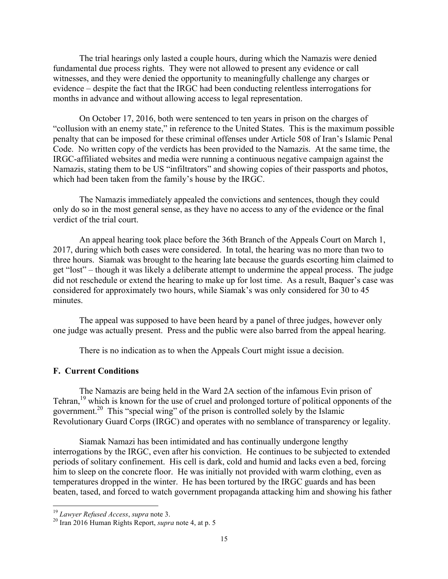The trial hearings only lasted a couple hours, during which the Namazis were denied fundamental due process rights. They were not allowed to present any evidence or call witnesses, and they were denied the opportunity to meaningfully challenge any charges or evidence – despite the fact that the IRGC had been conducting relentless interrogations for months in advance and without allowing access to legal representation.

On October 17, 2016, both were sentenced to ten years in prison on the charges of "collusion with an enemy state," in reference to the United States. This is the maximum possible penalty that can be imposed for these criminal offenses under Article 508 of Iran's Islamic Penal Code. No written copy of the verdicts has been provided to the Namazis. At the same time, the IRGC-affiliated websites and media were running a continuous negative campaign against the Namazis, stating them to be US "infiltrators" and showing copies of their passports and photos, which had been taken from the family's house by the IRGC.

The Namazis immediately appealed the convictions and sentences, though they could only do so in the most general sense, as they have no access to any of the evidence or the final verdict of the trial court.

An appeal hearing took place before the 36th Branch of the Appeals Court on March 1, 2017, during which both cases were considered. In total, the hearing was no more than two to three hours. Siamak was brought to the hearing late because the guards escorting him claimed to get "lost" – though it was likely a deliberate attempt to undermine the appeal process. The judge did not reschedule or extend the hearing to make up for lost time. As a result, Baquer's case was considered for approximately two hours, while Siamak's was only considered for 30 to 45 minutes.

The appeal was supposed to have been heard by a panel of three judges, however only one judge was actually present. Press and the public were also barred from the appeal hearing.

There is no indication as to when the Appeals Court might issue a decision.

#### **F. Current Conditions**

The Namazis are being held in the Ward 2A section of the infamous Evin prison of Tehran,<sup>19</sup> which is known for the use of cruel and prolonged torture of political opponents of the government.20 This "special wing" of the prison is controlled solely by the Islamic Revolutionary Guard Corps (IRGC) and operates with no semblance of transparency or legality.

Siamak Namazi has been intimidated and has continually undergone lengthy interrogations by the IRGC, even after his conviction. He continues to be subjected to extended periods of solitary confinement. His cell is dark, cold and humid and lacks even a bed, forcing him to sleep on the concrete floor. He was initially not provided with warm clothing, even as temperatures dropped in the winter. He has been tortured by the IRGC guards and has been beaten, tased, and forced to watch government propaganda attacking him and showing his father

<sup>&</sup>lt;sup>19</sup> Lawyer Refused Access, supra note 3.

<sup>&</sup>lt;sup>20</sup> Iran 2016 Human Rights Report, *supra* note 4, at p. 5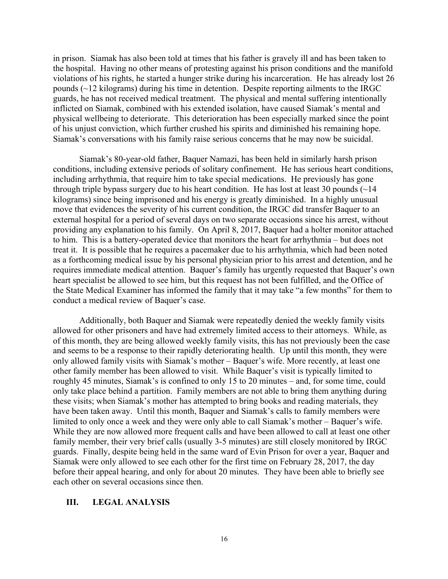in prison. Siamak has also been told at times that his father is gravely ill and has been taken to the hospital. Having no other means of protesting against his prison conditions and the manifold violations of his rights, he started a hunger strike during his incarceration. He has already lost 26 pounds (~12 kilograms) during his time in detention. Despite reporting ailments to the IRGC guards, he has not received medical treatment. The physical and mental suffering intentionally inflicted on Siamak, combined with his extended isolation, have caused Siamak's mental and physical wellbeing to deteriorate. This deterioration has been especially marked since the point of his unjust conviction, which further crushed his spirits and diminished his remaining hope. Siamak's conversations with his family raise serious concerns that he may now be suicidal.

Siamak's 80-year-old father, Baquer Namazi, has been held in similarly harsh prison conditions, including extensive periods of solitary confinement. He has serious heart conditions, including arrhythmia, that require him to take special medications. He previously has gone through triple bypass surgery due to his heart condition. He has lost at least 30 pounds  $\left(\sim\right]$  14 kilograms) since being imprisoned and his energy is greatly diminished. In a highly unusual move that evidences the severity of his current condition, the IRGC did transfer Baquer to an external hospital for a period of several days on two separate occasions since his arrest, without providing any explanation to his family. On April 8, 2017, Baquer had a holter monitor attached to him. This is a battery-operated device that monitors the heart for arrhythmia – but does not treat it. It is possible that he requires a pacemaker due to his arrhythmia, which had been noted as a forthcoming medical issue by his personal physician prior to his arrest and detention, and he requires immediate medical attention. Baquer's family has urgently requested that Baquer's own heart specialist be allowed to see him, but this request has not been fulfilled, and the Office of the State Medical Examiner has informed the family that it may take "a few months" for them to conduct a medical review of Baquer's case.

Additionally, both Baquer and Siamak were repeatedly denied the weekly family visits allowed for other prisoners and have had extremely limited access to their attorneys. While, as of this month, they are being allowed weekly family visits, this has not previously been the case and seems to be a response to their rapidly deteriorating health. Up until this month, they were only allowed family visits with Siamak's mother – Baquer's wife. More recently, at least one other family member has been allowed to visit. While Baquer's visit is typically limited to roughly 45 minutes, Siamak's is confined to only 15 to 20 minutes – and, for some time, could only take place behind a partition. Family members are not able to bring them anything during these visits; when Siamak's mother has attempted to bring books and reading materials, they have been taken away. Until this month, Baquer and Siamak's calls to family members were limited to only once a week and they were only able to call Siamak's mother – Baquer's wife. While they are now allowed more frequent calls and have been allowed to call at least one other family member, their very brief calls (usually 3-5 minutes) are still closely monitored by IRGC guards. Finally, despite being held in the same ward of Evin Prison for over a year, Baquer and Siamak were only allowed to see each other for the first time on February 28, 2017, the day before their appeal hearing, and only for about 20 minutes. They have been able to briefly see each other on several occasions since then.

#### **III. LEGAL ANALYSIS**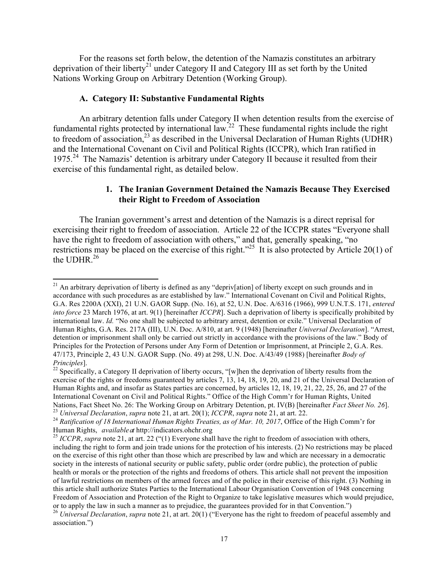For the reasons set forth below, the detention of the Namazis constitutes an arbitrary deprivation of their liberty<sup>21</sup> under Category II and Category III as set forth by the United Nations Working Group on Arbitrary Detention (Working Group).

#### **A. Category II: Substantive Fundamental Rights**

<u> 1989 - Johann Stein, markin film yn y breninn y breninn y breninn y breninn y breninn y breninn y breninn y b</u>

An arbitrary detention falls under Category II when detention results from the exercise of fundamental rights protected by international law.<sup>22</sup> These fundamental rights include the right to freedom of association,  $^{23}$  as described in the Universal Declaration of Human Rights (UDHR) and the International Covenant on Civil and Political Rights (ICCPR), which Iran ratified in 1975.24 The Namazis' detention is arbitrary under Category II because it resulted from their exercise of this fundamental right, as detailed below.

# **1. The Iranian Government Detained the Namazis Because They Exercised their Right to Freedom of Association**

The Iranian government's arrest and detention of the Namazis is a direct reprisal for exercising their right to freedom of association. Article 22 of the ICCPR states "Everyone shall have the right to freedom of association with others," and that, generally speaking, "no restrictions may be placed on the exercise of this right."<sup>25</sup> It is also protected by Article 20(1) of the UDHR. $^{26}$ 

<sup>&</sup>lt;sup>21</sup> An arbitrary deprivation of liberty is defined as any "depriv[ation] of liberty except on such grounds and in accordance with such procedures as are established by law." International Covenant on Civil and Political Rights, G.A. Res 2200A (XXI), 21 U.N. GAOR Supp. (No. 16), at 52, U.N. Doc. A/6316 (1966), 999 U.N.T.S. 171, *entered into force* 23 March 1976, at art. 9(1) [hereinafter *ICCPR*]. Such a deprivation of liberty is specifically prohibited by international law. *Id.* "No one shall be subjected to arbitrary arrest, detention or exile." Universal Declaration of Human Rights, G.A. Res. 217A (III), U.N. Doc. A/810, at art. 9 (1948) [hereinafter *Universal Declaration*]. "Arrest, detention or imprisonment shall only be carried out strictly in accordance with the provisions of the law." Body of Principles for the Protection of Persons under Any Form of Detention or Imprisonment, at Principle 2, G.A. Res. 47/173, Principle 2, 43 U.N. GAOR Supp. (No. 49) at 298, U.N. Doc. A/43/49 (1988) [hereinafter *Body of* 

*Principles*].<br><sup>22</sup> Specifically, a Category II deprivation of liberty occurs, "[w]hen the deprivation of liberty results from the exercise of the rights or freedoms guaranteed by articles 7, 13, 14, 18, 19, 20, and 21 of the Universal Declaration of Human Rights and, and insofar as States parties are concerned, by articles 12, 18, 19, 21, 22, 25, 26, and 27 of the International Covenant on Civil and Political Rights." Office of the High Comm'r for Human Rights, United Nations, Fact Sheet No. 26: The Working Group on Arbitrary Detention, pt. IV(B) [hereinafter *Fact Sheet No. 26*].<br><sup>23</sup> Universal Declaration, supra note 21, at art. 20(1); ICCPR, supra note 21, at art. 22.<br><sup>24</sup> Ratificati

Human Rights, *available at* http://indicators.ohchr.org<br><sup>25</sup> *ICCPR*, *supra* note 21, at art. 22 ("(1) Everyone shall have the right to freedom of association with others,

including the right to form and join trade unions for the protection of his interests. (2) No restrictions may be placed on the exercise of this right other than those which are prescribed by law and which are necessary in a democratic society in the interests of national security or public safety, public order (ordre public), the protection of public health or morals or the protection of the rights and freedoms of others. This article shall not prevent the imposition of lawful restrictions on members of the armed forces and of the police in their exercise of this right. (3) Nothing in this article shall authorize States Parties to the International Labour Organisation Convention of 1948 concerning Freedom of Association and Protection of the Right to Organize to take legislative measures which would prejudice, or to apply the law in such a manner as to prejudice, the guarantees provided for in that Convention.")<br><sup>26</sup> Universal Declaration, supra note 21, at art. 20(1) ("Everyone has the right to freedom of peaceful assembly and

association.")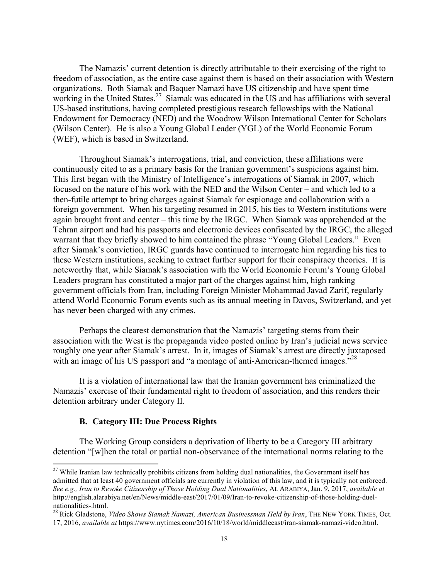The Namazis' current detention is directly attributable to their exercising of the right to freedom of association, as the entire case against them is based on their association with Western organizations. Both Siamak and Baquer Namazi have US citizenship and have spent time working in the United States.<sup>27</sup> Siamak was educated in the US and has affiliations with several US-based institutions, having completed prestigious research fellowships with the National Endowment for Democracy (NED) and the Woodrow Wilson International Center for Scholars (Wilson Center). He is also a Young Global Leader (YGL) of the World Economic Forum (WEF), which is based in Switzerland.

Throughout Siamak's interrogations, trial, and conviction, these affiliations were continuously cited to as a primary basis for the Iranian government's suspicions against him. This first began with the Ministry of Intelligence's interrogations of Siamak in 2007, which focused on the nature of his work with the NED and the Wilson Center – and which led to a then-futile attempt to bring charges against Siamak for espionage and collaboration with a foreign government. When his targeting resumed in 2015, his ties to Western institutions were again brought front and center – this time by the IRGC. When Siamak was apprehended at the Tehran airport and had his passports and electronic devices confiscated by the IRGC, the alleged warrant that they briefly showed to him contained the phrase "Young Global Leaders." Even after Siamak's conviction, IRGC guards have continued to interrogate him regarding his ties to these Western institutions, seeking to extract further support for their conspiracy theories. It is noteworthy that, while Siamak's association with the World Economic Forum's Young Global Leaders program has constituted a major part of the charges against him, high ranking government officials from Iran, including Foreign Minister Mohammad Javad Zarif, regularly attend World Economic Forum events such as its annual meeting in Davos, Switzerland, and yet has never been charged with any crimes.

Perhaps the clearest demonstration that the Namazis' targeting stems from their association with the West is the propaganda video posted online by Iran's judicial news service roughly one year after Siamak's arrest. In it, images of Siamak's arrest are directly juxtaposed with an image of his US passport and "a montage of anti-American-themed images."<sup>28</sup>

It is a violation of international law that the Iranian government has criminalized the Namazis' exercise of their fundamental right to freedom of association, and this renders their detention arbitrary under Category II.

#### **B. Category III: Due Process Rights**

 

The Working Group considers a deprivation of liberty to be a Category III arbitrary detention "[w]hen the total or partial non-observance of the international norms relating to the

<sup>&</sup>lt;sup>27</sup> While Iranian law technically prohibits citizens from holding dual nationalities, the Government itself has admitted that at least 40 government officials are currently in violation of this law, and it is typically not enforced. *See e.g., Iran to Revoke Citizenship of Those Holding Dual Nationalities*, AL ARABIYA, Jan. 9, 2017, *available at* http://english.alarabiya.net/en/News/middle-east/2017/01/09/Iran-to-revoke-citizenship-of-those-holding-duel-

nationalities-.html. <sup>28</sup> Rick Gladstone, *Video Shows Siamak Namazi, American Businessman Held by Iran*, THE NEW YORK TIMES, Oct. 17, 2016, *available at* https://www.nytimes.com/2016/10/18/world/middleeast/iran-siamak-namazi-video.html.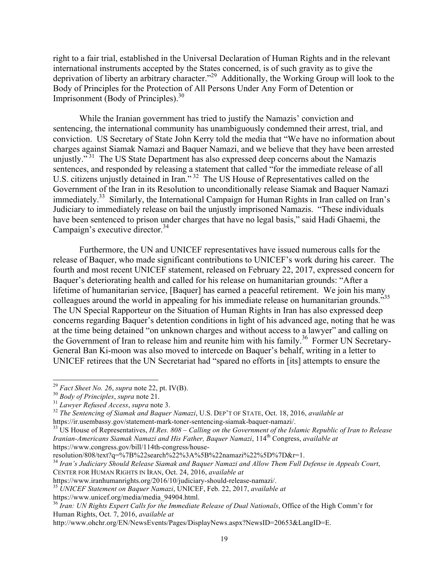right to a fair trial, established in the Universal Declaration of Human Rights and in the relevant international instruments accepted by the States concerned, is of such gravity as to give the deprivation of liberty an arbitrary character."29 Additionally, the Working Group will look to the Body of Principles for the Protection of All Persons Under Any Form of Detention or Imprisonment (Body of Principles). $30$ 

While the Iranian government has tried to justify the Namazis' conviction and sentencing, the international community has unambiguously condemned their arrest, trial, and conviction. US Secretary of State John Kerry told the media that "We have no information about charges against Siamak Namazi and Baquer Namazi, and we believe that they have been arrested unjustly."<sup>31</sup> The US State Department has also expressed deep concerns about the Namazis sentences, and responded by releasing a statement that called "for the immediate release of all U.S. citizens unjustly detained in Iran."<sup>32</sup> The US House of Representatives called on the Government of the Iran in its Resolution to unconditionally release Siamak and Baquer Namazi immediately.<sup>33</sup> Similarly, the International Campaign for Human Rights in Iran called on Iran's Judiciary to immediately release on bail the unjustly imprisoned Namazis. "These individuals have been sentenced to prison under charges that have no legal basis," said Hadi Ghaemi, the Campaign's executive director.<sup>34</sup>

Furthermore, the UN and UNICEF representatives have issued numerous calls for the release of Baquer, who made significant contributions to UNICEF's work during his career. The fourth and most recent UNICEF statement, released on February 22, 2017, expressed concern for Baquer's deteriorating health and called for his release on humanitarian grounds: "After a lifetime of humanitarian service, [Baquer] has earned a peaceful retirement. We join his many colleagues around the world in appealing for his immediate release on humanitarian grounds."<sup>35</sup> The UN Special Rapporteur on the Situation of Human Rights in Iran has also expressed deep concerns regarding Baquer's detention conditions in light of his advanced age, noting that he was at the time being detained "on unknown charges and without access to a lawyer" and calling on the Government of Iran to release him and reunite him with his family.<sup>36</sup> Former UN Secretary-General Ban Ki-moon was also moved to intercede on Baquer's behalf, writing in a letter to UNICEF retirees that the UN Secretariat had "spared no efforts in [its] attempts to ensure the

<sup>&</sup>lt;sup>29</sup> Fact Sheet No. 26, supra note 22, pt. IV(B).<br><sup>30</sup> Body of Principles, supra note 21.<br><sup>31</sup> Lawyer Refused Access, supra note 3.<br><sup>32</sup> The Sentencing of Siamak and Baquer Namazi, U.S. DEP'T OF STATE, Oct. 18, 2016, avai

https://ir.usembassy.gov/statement-mark-toner-sentencing-siamak-baquer-namazi/. <sup>33</sup> US House of Representatives, *H.Res. 808 – Calling on the Government of the Islamic Republic of Iran to Release Iranian-Americans Siamak Namazi and His Father, Baquer Namazi, 114th Congress, available at* https://www.congress.gov/bill/114th-congress/house-

resolution/808/text?q=%7B%22search%22%3A%5B%22namazi%22%5D%7D&r=1.

<sup>34</sup> *Iran's Judiciary Should Release Siamak and Baquer Namazi and Allow Them Full Defense in Appeals Court*, CENTER FOR HUMAN RIGHTS IN IRAN, Oct. 24, 2016, *available at* 

https://www.iranhumanrights.org/2016/10/judiciary-should-release-namazi/. <sup>35</sup> *UNICEF Statement on Baquer Namazi*, UNICEF, Feb. 22, 2017, *available at*

https://www.unicef.org/media/media\_94904.html.

<sup>36</sup> *Iran: UN Rights Expert Calls for the Immediate Release of Dual Nationals*, Office of the High Comm'r for Human Rights, Oct. 7, 2016, *available at*

http://www.ohchr.org/EN/NewsEvents/Pages/DisplayNews.aspx?NewsID=20653&LangID=E.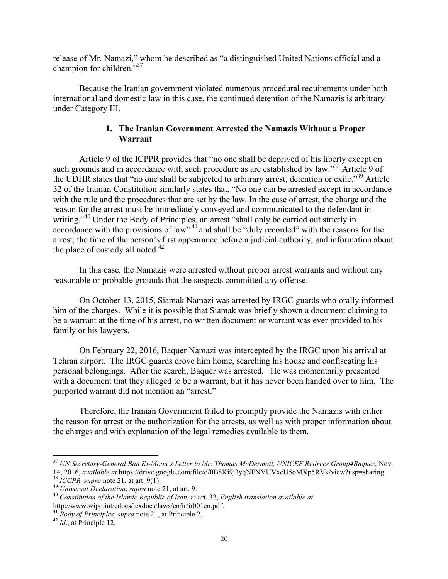release of Mr. Namazi," whom he described as "a distinguished United Nations official and a champion for children."37

Because the Iranian government violated numerous procedural requirements under both international and domestic law in this case, the continued detention of the Namazis is arbitrary under Category III.

# **1. The Iranian Government Arrested the Namazis Without a Proper Warrant**

Article 9 of the ICPPR provides that "no one shall be deprived of his liberty except on such grounds and in accordance with such procedure as are established by law."<sup>38</sup> Article 9 of the UDHR states that "no one shall be subjected to arbitrary arrest, detention or exile."<sup>39</sup> Article 32 of the Iranian Constitution similarly states that, "No one can be arrested except in accordance with the rule and the procedures that are set by the law. In the case of arrest, the charge and the reason for the arrest must be immediately conveyed and communicated to the defendant in writing."<sup>40</sup> Under the Body of Principles, an arrest "shall only be carried out strictly in accordance with the provisions of law"<sup>41</sup> and shall be "duly recorded" with the reasons for the arrest, the time of the person's first appearance before a judicial authority, and information about the place of custody all noted.<sup>42</sup>

In this case, the Namazis were arrested without proper arrest warrants and without any reasonable or probable grounds that the suspects committed any offense.

On October 13, 2015, Siamak Namazi was arrested by IRGC guards who orally informed him of the charges. While it is possible that Siamak was briefly shown a document claiming to be a warrant at the time of his arrest, no written document or warrant was ever provided to his family or his lawyers.

On February 22, 2016, Baquer Namazi was intercepted by the IRGC upon his arrival at Tehran airport. The IRGC guards drove him home, searching his house and confiscating his personal belongings. After the search, Baquer was arrested. He was momentarily presented with a document that they alleged to be a warrant, but it has never been handed over to him. The purported warrant did not mention an "arrest."

Therefore, the Iranian Government failed to promptly provide the Namazis with either the reason for arrest or the authorization for the arrests, as well as with proper information about the charges and with explanation of the legal remedies available to them.

<sup>37</sup> *UN Secretary-General Ban Ki-Moon's Letter to Mr. Thomas McDermott, UNICEF Retirees Group4Baquer*, Nov. 14, 2016, available at https://drive.google.com/file/d/0B8Ki9j3yqNFNVUVxeU5oMXp5RVk/view?usp=sharing.<br><sup>38</sup> ICCPR, supra note 21, at art. 9(1).<br><sup>39</sup> Universal Declaration, supra note 21, at art. 9.<br><sup>40</sup> Constitution of the

http://www.wipo.int/edocs/lexdocs/laws/en/ir/ir001en.pdf.

<sup>41</sup> *Body of Principles*, *supra* note 21, at Principle 2. <sup>42</sup> *Id*., at Principle 12.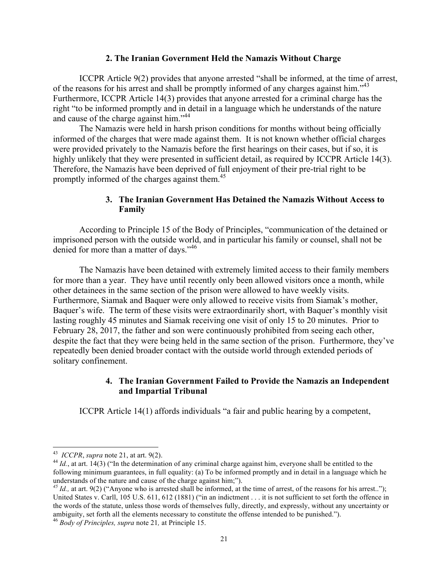#### **2. The Iranian Government Held the Namazis Without Charge**

ICCPR Article 9(2) provides that anyone arrested "shall be informed, at the time of arrest, of the reasons for his arrest and shall be promptly informed of any charges against him."<sup>43</sup> Furthermore, ICCPR Article 14(3) provides that anyone arrested for a criminal charge has the right "to be informed promptly and in detail in a language which he understands of the nature and cause of the charge against him."44

The Namazis were held in harsh prison conditions for months without being officially informed of the charges that were made against them. It is not known whether official charges were provided privately to the Namazis before the first hearings on their cases, but if so, it is highly unlikely that they were presented in sufficient detail, as required by ICCPR Article 14(3). Therefore, the Namazis have been deprived of full enjoyment of their pre-trial right to be promptly informed of the charges against them.<sup>45</sup>

#### **3. The Iranian Government Has Detained the Namazis Without Access to Family**

According to Principle 15 of the Body of Principles, "communication of the detained or imprisoned person with the outside world, and in particular his family or counsel, shall not be denied for more than a matter of days."<sup>46</sup>

The Namazis have been detained with extremely limited access to their family members for more than a year. They have until recently only been allowed visitors once a month, while other detainees in the same section of the prison were allowed to have weekly visits. Furthermore, Siamak and Baquer were only allowed to receive visits from Siamak's mother, Baquer's wife. The term of these visits were extraordinarily short, with Baquer's monthly visit lasting roughly 45 minutes and Siamak receiving one visit of only 15 to 20 minutes. Prior to February 28, 2017, the father and son were continuously prohibited from seeing each other, despite the fact that they were being held in the same section of the prison. Furthermore, they've repeatedly been denied broader contact with the outside world through extended periods of solitary confinement.

#### **4. The Iranian Government Failed to Provide the Namazis an Independent and Impartial Tribunal**

ICCPR Article 14(1) affords individuals "a fair and public hearing by a competent,

<sup>&</sup>lt;u> 1989 - Johann Stein, markin film yn y breninn y breninn y breninn y breninn y breninn y breninn y breninn y b</u>

<sup>&</sup>lt;sup>43</sup> *ICCPR*, *supra* note 21, at art. 9(2).<br><sup>44</sup> *Id.*, at art. 14(3) ("In the determination of any criminal charge against him, everyone shall be entitled to the following minimum guarantees, in full equality: (a) To be informed promptly and in detail in a language which he understands of the nature and cause of the charge against him;").<br><sup>45</sup> *Id.*, at art. 9(2) ("Anyone who is arrested shall be informed, at the time of arrest, of the reasons for his arrest..");

United States v. Carll, 105 U.S. 611, 612 (1881) ("in an indictment . . . it is not sufficient to set forth the offence in the words of the statute, unless those words of themselves fully, directly, and expressly, without any uncertainty or ambiguity, set forth all the elements necessary to constitute the offense intended to be punished.").

<sup>46</sup> *Body of Principles, supra* note 21*,* at Principle 15.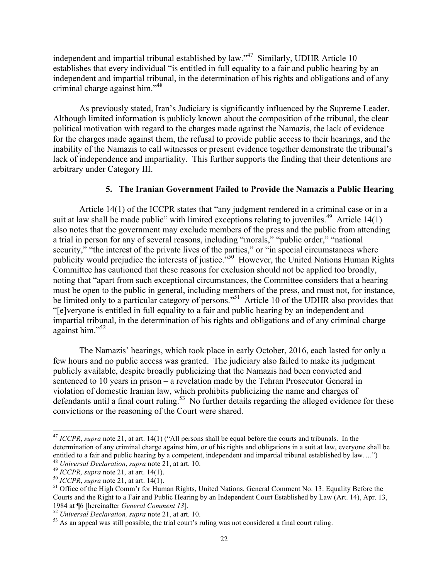independent and impartial tribunal established by law."47 Similarly, UDHR Article 10 establishes that every individual "is entitled in full equality to a fair and public hearing by an independent and impartial tribunal, in the determination of his rights and obligations and of any criminal charge against him."48

As previously stated, Iran's Judiciary is significantly influenced by the Supreme Leader. Although limited information is publicly known about the composition of the tribunal, the clear political motivation with regard to the charges made against the Namazis, the lack of evidence for the charges made against them, the refusal to provide public access to their hearings, and the inability of the Namazis to call witnesses or present evidence together demonstrate the tribunal's lack of independence and impartiality. This further supports the finding that their detentions are arbitrary under Category III.

## **5. The Iranian Government Failed to Provide the Namazis a Public Hearing**

Article 14(1) of the ICCPR states that "any judgment rendered in a criminal case or in a suit at law shall be made public" with limited exceptions relating to juveniles.<sup>49</sup> Article 14(1) also notes that the government may exclude members of the press and the public from attending a trial in person for any of several reasons, including "morals," "public order," "national security," "the interest of the private lives of the parties," or "in special circumstances where publicity would prejudice the interests of justice."50 However, the United Nations Human Rights Committee has cautioned that these reasons for exclusion should not be applied too broadly, noting that "apart from such exceptional circumstances, the Committee considers that a hearing must be open to the public in general, including members of the press, and must not, for instance, be limited only to a particular category of persons."<sup>51</sup> Article 10 of the UDHR also provides that "[e]veryone is entitled in full equality to a fair and public hearing by an independent and impartial tribunal, in the determination of his rights and obligations and of any criminal charge against him."52

The Namazis' hearings, which took place in early October, 2016, each lasted for only a few hours and no public access was granted. The judiciary also failed to make its judgment publicly available, despite broadly publicizing that the Namazis had been convicted and sentenced to 10 years in prison – a revelation made by the Tehran Prosecutor General in violation of domestic Iranian law, which prohibits publicizing the name and charges of defendants until a final court ruling.<sup>53</sup> No further details regarding the alleged evidence for these convictions or the reasoning of the Court were shared.

<sup>&</sup>lt;sup>47</sup> *ICCPR*, *supra* note 21, at art. 14(1) ("All persons shall be equal before the courts and tribunals. In the determination of any criminal charge against him, or of his rights and obligations in a suit at law, everyone shall be entitled to a fair and public hearing by a competent, independent and impartial tribunal established by law....")  $48$  *Universal Declaration, supra* note 21, at art. 10.

<sup>&</sup>lt;sup>49</sup> ICCPR, supra note 21, at art. 14(1).<br><sup>50</sup> ICCPR, supra note 21, at art. 14(1).<br><sup>51</sup> Office of the High Comm'r for Human Rights, United Nations, General Comment No. 13: Equality Before the Courts and the Right to a Fair and Public Hearing by an Independent Court Established by Law (Art. 14), Apr. 13, 1984 at ¶6 [hereinafter *General Comment 13*].<br><sup>52</sup> *Universal Declaration, supra* note 21, at art. 10.<br><sup>53</sup> As an appeal was still possible, the trial court's ruling was not considered a final court ruling.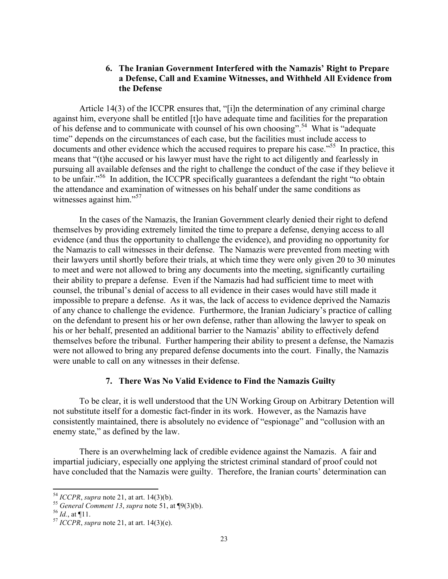### **6. The Iranian Government Interfered with the Namazis' Right to Prepare a Defense, Call and Examine Witnesses, and Withheld All Evidence from the Defense**

Article 14(3) of the ICCPR ensures that, "[i]n the determination of any criminal charge against him, everyone shall be entitled [t]o have adequate time and facilities for the preparation of his defense and to communicate with counsel of his own choosing".<sup>54</sup> What is "adequate time" depends on the circumstances of each case, but the facilities must include access to documents and other evidence which the accused requires to prepare his case.<sup>555</sup> In practice, this means that "(t)he accused or his lawyer must have the right to act diligently and fearlessly in pursuing all available defenses and the right to challenge the conduct of the case if they believe it to be unfair."56 In addition, the ICCPR specifically guarantees a defendant the right "to obtain the attendance and examination of witnesses on his behalf under the same conditions as witnesses against him."<sup>57</sup>

In the cases of the Namazis, the Iranian Government clearly denied their right to defend themselves by providing extremely limited the time to prepare a defense, denying access to all evidence (and thus the opportunity to challenge the evidence), and providing no opportunity for the Namazis to call witnesses in their defense. The Namazis were prevented from meeting with their lawyers until shortly before their trials, at which time they were only given 20 to 30 minutes to meet and were not allowed to bring any documents into the meeting, significantly curtailing their ability to prepare a defense. Even if the Namazis had had sufficient time to meet with counsel, the tribunal's denial of access to all evidence in their cases would have still made it impossible to prepare a defense. As it was, the lack of access to evidence deprived the Namazis of any chance to challenge the evidence. Furthermore, the Iranian Judiciary's practice of calling on the defendant to present his or her own defense, rather than allowing the lawyer to speak on his or her behalf, presented an additional barrier to the Namazis' ability to effectively defend themselves before the tribunal. Further hampering their ability to present a defense, the Namazis were not allowed to bring any prepared defense documents into the court. Finally, the Namazis were unable to call on any witnesses in their defense.

### **7. There Was No Valid Evidence to Find the Namazis Guilty**

To be clear, it is well understood that the UN Working Group on Arbitrary Detention will not substitute itself for a domestic fact-finder in its work. However, as the Namazis have consistently maintained, there is absolutely no evidence of "espionage" and "collusion with an enemy state," as defined by the law.

There is an overwhelming lack of credible evidence against the Namazis. A fair and impartial judiciary, especially one applying the strictest criminal standard of proof could not have concluded that the Namazis were guilty. Therefore, the Iranian courts' determination can

 $54$  ICCPR, supra note 21, at art. 14(3)(b).

<sup>&</sup>lt;sup>55</sup> *General Comment 13, supra* note 51, at  $\P9(3)(b)$ .<br><sup>56</sup> *Id.*, at  $\P11$ .<br><sup>57</sup> *ICCPR, supra* note 21, at art. 14(3)(e).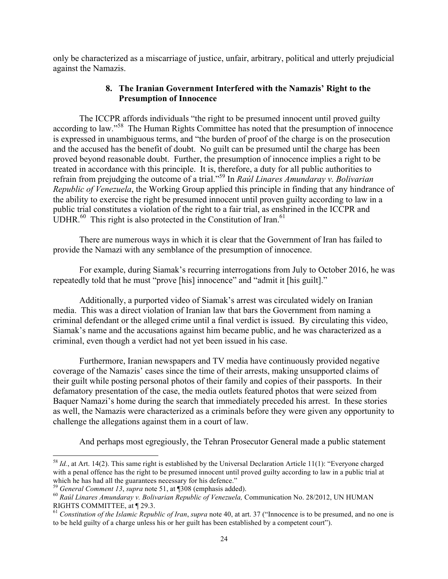only be characterized as a miscarriage of justice, unfair, arbitrary, political and utterly prejudicial against the Namazis.

# **8. The Iranian Government Interfered with the Namazis' Right to the Presumption of Innocence**

The ICCPR affords individuals "the right to be presumed innocent until proved guilty according to law."58 The Human Rights Committee has noted that the presumption of innocence is expressed in unambiguous terms, and "the burden of proof of the charge is on the prosecution and the accused has the benefit of doubt. No guilt can be presumed until the charge has been proved beyond reasonable doubt. Further, the presumption of innocence implies a right to be treated in accordance with this principle. It is, therefore, a duty for all public authorities to refrain from prejudging the outcome of a trial."<sup>59</sup> In *Raúl Linares Amundaray v. Bolivarian Republic of Venezuela*, the Working Group applied this principle in finding that any hindrance of the ability to exercise the right be presumed innocent until proven guilty according to law in a public trial constitutes a violation of the right to a fair trial, as enshrined in the ICCPR and UDHR. $^{60}$  This right is also protected in the Constitution of Iran. $^{61}$ 

There are numerous ways in which it is clear that the Government of Iran has failed to provide the Namazi with any semblance of the presumption of innocence.

For example, during Siamak's recurring interrogations from July to October 2016, he was repeatedly told that he must "prove [his] innocence" and "admit it [his guilt]."

Additionally, a purported video of Siamak's arrest was circulated widely on Iranian media. This was a direct violation of Iranian law that bars the Government from naming a criminal defendant or the alleged crime until a final verdict is issued. By circulating this video, Siamak's name and the accusations against him became public, and he was characterized as a criminal, even though a verdict had not yet been issued in his case.

Furthermore, Iranian newspapers and TV media have continuously provided negative coverage of the Namazis' cases since the time of their arrests, making unsupported claims of their guilt while posting personal photos of their family and copies of their passports. In their defamatory presentation of the case, the media outlets featured photos that were seized from Baquer Namazi's home during the search that immediately preceded his arrest. In these stories as well, the Namazis were characterized as a criminals before they were given any opportunity to challenge the allegations against them in a court of law.

And perhaps most egregiously, the Tehran Prosecutor General made a public statement

<u> 1989 - Johann Stein, fransk politik (d. 1989)</u>

<sup>58</sup> *Id.*, at Art. 14(2). This same right is established by the Universal Declaration Article 11(1): "Everyone charged with a penal offence has the right to be presumed innocent until proved guilty according to law in a public trial at which he has had all the guarantees necessary for his defence."<br><sup>59</sup> General Comment 13, supra note 51, at  $\P$ 308 (emphasis added).

<sup>&</sup>lt;sup>60</sup> Raúl Linares Amundaray v. Bolivarian Republic of Venezuela, Communication No. 28/2012, UN HUMAN RIGHTS COMMITTEE, at ¶ 29.3.

<sup>61</sup> *Constitution of the Islamic Republic of Iran*, *supra* note 40, at art. 37 ("Innocence is to be presumed, and no one is to be held guilty of a charge unless his or her guilt has been established by a competent court").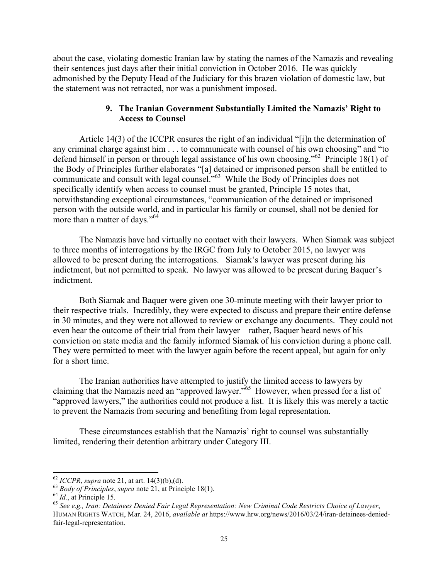about the case, violating domestic Iranian law by stating the names of the Namazis and revealing their sentences just days after their initial conviction in October 2016. He was quickly admonished by the Deputy Head of the Judiciary for this brazen violation of domestic law, but the statement was not retracted, nor was a punishment imposed.

# **9. The Iranian Government Substantially Limited the Namazis' Right to Access to Counsel**

Article 14(3) of the ICCPR ensures the right of an individual "[i]n the determination of any criminal charge against him . . . to communicate with counsel of his own choosing" and "to defend himself in person or through legal assistance of his own choosing."62 Principle 18(1) of the Body of Principles further elaborates "[a] detained or imprisoned person shall be entitled to communicate and consult with legal counsel."63 While the Body of Principles does not specifically identify when access to counsel must be granted, Principle 15 notes that, notwithstanding exceptional circumstances, "communication of the detained or imprisoned person with the outside world, and in particular his family or counsel, shall not be denied for more than a matter of days."<sup>64</sup>

The Namazis have had virtually no contact with their lawyers. When Siamak was subject to three months of interrogations by the IRGC from July to October 2015, no lawyer was allowed to be present during the interrogations. Siamak's lawyer was present during his indictment, but not permitted to speak. No lawyer was allowed to be present during Baquer's indictment.

Both Siamak and Baquer were given one 30-minute meeting with their lawyer prior to their respective trials. Incredibly, they were expected to discuss and prepare their entire defense in 30 minutes, and they were not allowed to review or exchange any documents. They could not even hear the outcome of their trial from their lawyer – rather, Baquer heard news of his conviction on state media and the family informed Siamak of his conviction during a phone call. They were permitted to meet with the lawyer again before the recent appeal, but again for only for a short time.

The Iranian authorities have attempted to justify the limited access to lawyers by claiming that the Namazis need an "approved lawyer."65 However, when pressed for a list of "approved lawyers," the authorities could not produce a list. It is likely this was merely a tactic to prevent the Namazis from securing and benefiting from legal representation.

These circumstances establish that the Namazis' right to counsel was substantially limited, rendering their detention arbitrary under Category III.

<u> 1989 - Johann Stein, fransk politik (d. 1989)</u>

<sup>&</sup>lt;sup>62</sup> ICCPR, supra note 21, at art. 14(3)(b),(d).<br><sup>63</sup> Body of Principles, supra note 21, at Principle 18(1).<br><sup>64</sup> Id., at Principle 15.<br><sup>65</sup> See e.g., Iran: Detainees Denied Fair Legal Representation: New Criminal Code Re HUMAN RIGHTS WATCH, Mar. 24, 2016, *available at* https://www.hrw.org/news/2016/03/24/iran-detainees-deniedfair-legal-representation.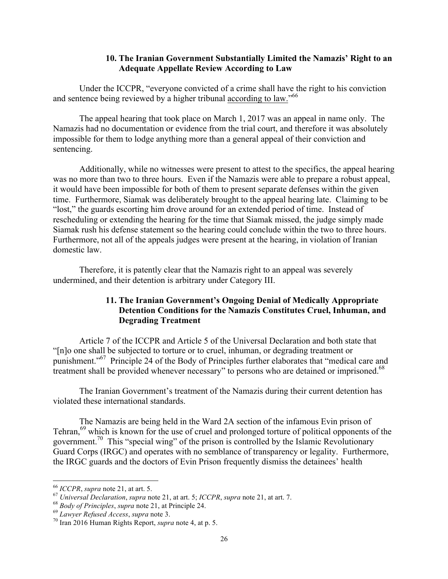# **10. The Iranian Government Substantially Limited the Namazis' Right to an Adequate Appellate Review According to Law**

Under the ICCPR, "everyone convicted of a crime shall have the right to his conviction and sentence being reviewed by a higher tribunal according to law."<sup>66</sup>

The appeal hearing that took place on March 1, 2017 was an appeal in name only. The Namazis had no documentation or evidence from the trial court, and therefore it was absolutely impossible for them to lodge anything more than a general appeal of their conviction and sentencing.

Additionally, while no witnesses were present to attest to the specifics, the appeal hearing was no more than two to three hours. Even if the Namazis were able to prepare a robust appeal, it would have been impossible for both of them to present separate defenses within the given time. Furthermore, Siamak was deliberately brought to the appeal hearing late. Claiming to be "lost," the guards escorting him drove around for an extended period of time. Instead of rescheduling or extending the hearing for the time that Siamak missed, the judge simply made Siamak rush his defense statement so the hearing could conclude within the two to three hours. Furthermore, not all of the appeals judges were present at the hearing, in violation of Iranian domestic law.

Therefore, it is patently clear that the Namazis right to an appeal was severely undermined, and their detention is arbitrary under Category III.

# **11. The Iranian Government's Ongoing Denial of Medically Appropriate Detention Conditions for the Namazis Constitutes Cruel, Inhuman, and Degrading Treatment**

Article 7 of the ICCPR and Article 5 of the Universal Declaration and both state that "[n]o one shall be subjected to torture or to cruel, inhuman, or degrading treatment or punishment."67 Principle 24 of the Body of Principles further elaborates that "medical care and treatment shall be provided whenever necessary" to persons who are detained or imprisoned.<sup>68</sup>

The Iranian Government's treatment of the Namazis during their current detention has violated these international standards.

The Namazis are being held in the Ward 2A section of the infamous Evin prison of Tehran,<sup>69</sup> which is known for the use of cruel and prolonged torture of political opponents of the government.70 This "special wing" of the prison is controlled by the Islamic Revolutionary Guard Corps (IRGC) and operates with no semblance of transparency or legality. Furthermore, the IRGC guards and the doctors of Evin Prison frequently dismiss the detainees' health

<sup>&</sup>lt;u> 1989 - Johann Stein, fransk politik (d. 1989)</u>

<sup>&</sup>lt;sup>66</sup> ICCPR, supra note 21, at art. 5.<br><sup>67</sup> Universal Declaration, supra note 21, at art. 5; ICCPR, supra note 21, at art. 7.<br><sup>68</sup> Body of Principles, supra note 21, at Principle 24.<br><sup>69</sup> Lawyer Refused Access, supra note